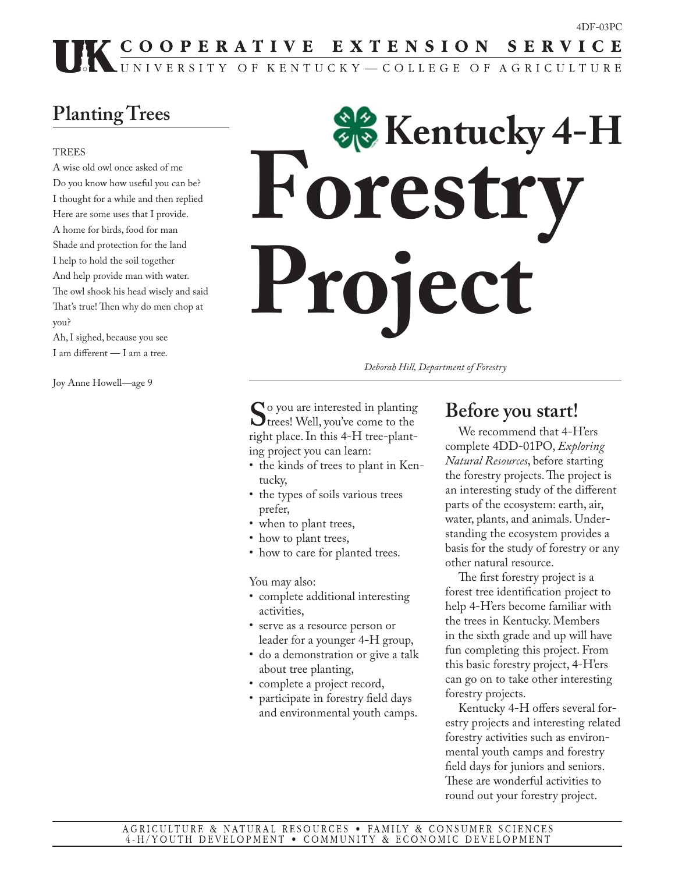## UK COOPERATIVE EXTENSION SERVICE

## **Planting Trees**

#### **TREES**

A wise old owl once asked of me Do you know how useful you can be? I thought for a while and then replied Here are some uses that I provide. A home for birds, food for man Shade and protection for the land I help to hold the soil together And help provide man with water. The owl shook his head wisely and said That's true! Then why do men chop at you?

Ah, I sighed, because you see I am different  $-$  I am a tree.

Joy Anne Howell—age 9

# **Foresti Project Kentucky 4-H**

*Deborah Hill, Department of Forestry*

So you are interested in planting<br>trees! Well, you've come to the<br>interactional public 4. Here when right place. In this 4-H tree-planting project you can learn:

- the kinds of trees to plant in Kentucky,
- the types of soils various trees prefer,
- when to plant trees,
- how to plant trees,
- how to care for planted trees.

You may also:

- complete additional interesting activities,
- serve as a resource person or leader for a younger 4-H group,
- do a demonstration or give a talk about tree planting,
- complete a project record,
- participate in forestry field days and environmental youth camps.

#### **Before you start!**

 We recommend that 4-H'ers complete 4DD-01PO, *Exploring Natural Resources*, before starting the forestry projects. The project is an interesting study of the different parts of the ecosystem: earth, air, water, plants, and animals. Understanding the ecosystem provides a basis for the study of forestry or any other natural resource.

The first forestry project is a forest tree identification project to help 4-H'ers become familiar with the trees in Kentucky. Members in the sixth grade and up will have fun completing this project. From this basic forestry project, 4-H'ers can go on to take other interesting forestry projects.

Kentucky 4-H offers several forestry projects and interesting related forestry activities such as environmental youth camps and forestry field days for juniors and seniors. These are wonderful activities to round out your forestry project.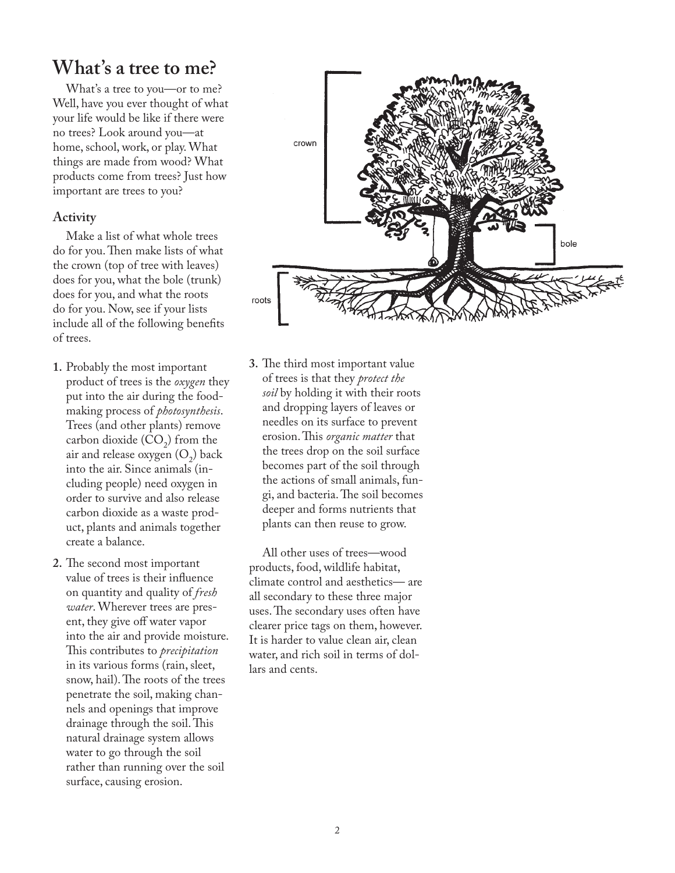#### **What's a tree to me?**

 What's a tree to you—or to me? Well, have you ever thought of what your life would be like if there were no trees? Look around you—at home, school, work, or play. What things are made from wood? What products come from trees? Just how important are trees to you?

#### **Activity**

 Make a list of what whole trees do for you. Then make lists of what the crown (top of tree with leaves) does for you, what the bole (trunk) does for you, and what the roots do for you. Now, see if your lists include all of the following benefits of trees.

- **1.** Probably the most important product of trees is the *oxygen* they put into the air during the foodmaking process of *photosynthesis*. Trees (and other plants) remove carbon dioxide  $(CO_2)$  from the air and release oxygen  $(O_2)$  back into the air. Since animals (including people) need oxygen in order to survive and also release carbon dioxide as a waste product, plants and animals together create a balance.
- **2.** The second most important value of trees is their influence on quantity and quality of *fresh water*. Wherever trees are present, they give off water vapor into the air and provide moisture. This contributes to *precipitation* in its various forms (rain, sleet, snow, hail). The roots of the trees penetrate the soil, making channels and openings that improve drainage through the soil. This natural drainage system allows water to go through the soil rather than running over the soil surface, causing erosion.



**3.** The third most important value of trees is that they *protect the soil* by holding it with their roots and dropping layers of leaves or needles on its surface to prevent erosion. This *organic matter* that the trees drop on the soil surface becomes part of the soil through the actions of small animals, fungi, and bacteria. The soil becomes deeper and forms nutrients that plants can then reuse to grow.

 All other uses of trees—wood products, food, wildlife habitat, climate control and aesthetics— are all secondary to these three major uses. The secondary uses often have clearer price tags on them, however. It is harder to value clean air, clean water, and rich soil in terms of dollars and cents.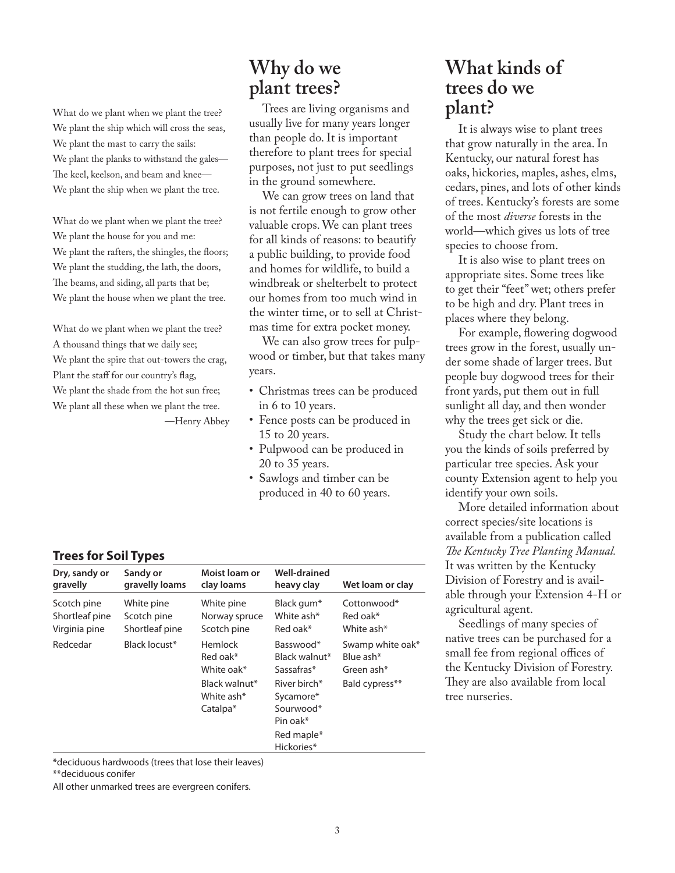What do we plant when we plant the tree? We plant the ship which will cross the seas, We plant the mast to carry the sails: We plant the planks to withstand the gales— The keel, keelson, and beam and knee-We plant the ship when we plant the tree.

What do we plant when we plant the tree? We plant the house for you and me: We plant the rafters, the shingles, the floors; We plant the studding, the lath, the doors, The beams, and siding, all parts that be; We plant the house when we plant the tree.

What do we plant when we plant the tree? A thousand things that we daily see; We plant the spire that out-towers the crag, Plant the staff for our country's flag, We plant the shade from the hot sun free; We plant all these when we plant the tree. —Henry Abbey

## **Why do we plant trees?**

 Trees are living organisms and usually live for many years longer than people do. It is important therefore to plant trees for special purposes, not just to put seedlings in the ground somewhere.

 We can grow trees on land that is not fertile enough to grow other valuable crops. We can plant trees for all kinds of reasons: to beautify a public building, to provide food and homes for wildlife, to build a windbreak or shelterbelt to protect our homes from too much wind in the winter time, or to sell at Christmas time for extra pocket money.

 We can also grow trees for pulpwood or timber, but that takes many years.

- Christmas trees can be produced in 6 to 10 years.
- Fence posts can be produced in 15 to 20 years.
- Pulpwood can be produced in 20 to 35 years.
- Sawlogs and timber can be produced in 40 to 60 years.

#### **What kinds of trees do we plant?**

 It is always wise to plant trees that grow naturally in the area. In Kentucky, our natural forest has oaks, hickories, maples, ashes, elms, cedars, pines, and lots of other kinds of trees. Kentucky's forests are some of the most *diverse* forests in the world—which gives us lots of tree species to choose from.

 It is also wise to plant trees on appropriate sites. Some trees like to get their "feet" wet; others prefer to be high and dry. Plant trees in places where they belong.

For example, flowering dogwood trees grow in the forest, usually under some shade of larger trees. But people buy dogwood trees for their front yards, put them out in full sunlight all day, and then wonder why the trees get sick or die.

 Study the chart below. It tells you the kinds of soils preferred by particular tree species. Ask your county Extension agent to help you identify your own soils.

 More detailed information about correct species/site locations is available from a publication called The Kentucky Tree Planting Manual. It was written by the Kentucky Division of Forestry and is available through your Extension 4-H or agricultural agent.

 Seedlings of many species of native trees can be purchased for a small fee from regional offices of the Kentucky Division of Forestry. They are also available from local tree nurseries.

#### **Trees for Soil Types**

| Dry, sandy or  | Sandy or       | Moist loam or                                                                                   | Well-drained                                                                                                               | Wet loam or clay                                              |
|----------------|----------------|-------------------------------------------------------------------------------------------------|----------------------------------------------------------------------------------------------------------------------------|---------------------------------------------------------------|
| gravelly       | gravelly loams | clay loams                                                                                      | heavy clay                                                                                                                 |                                                               |
| Scotch pine    | White pine     | White pine                                                                                      | Black gum*                                                                                                                 | Cottonwood*                                                   |
| Shortleaf pine | Scotch pine    | Norway spruce                                                                                   | White ash*                                                                                                                 | Red oak*                                                      |
| Virginia pine  | Shortleaf pine | Scotch pine                                                                                     | Red oak*                                                                                                                   | White ash*                                                    |
| Redcedar       | Black locust*  | <b>Hemlock</b><br>Red oak*<br>White oak*<br>Black walnut*<br>White ash*<br>Catalpa <sup>*</sup> | Basswood*<br>Black walnut*<br>Sassafras*<br>River birch*<br>Sycamore*<br>Sourwood*<br>Pin oak*<br>Red maple*<br>Hickories* | Swamp white oak*<br>Blue ash*<br>Green ash*<br>Bald cypress** |

\*deciduous hardwoods (trees that lose their leaves)

All other unmarked trees are evergreen conifers.

<sup>\*\*</sup>deciduous conifer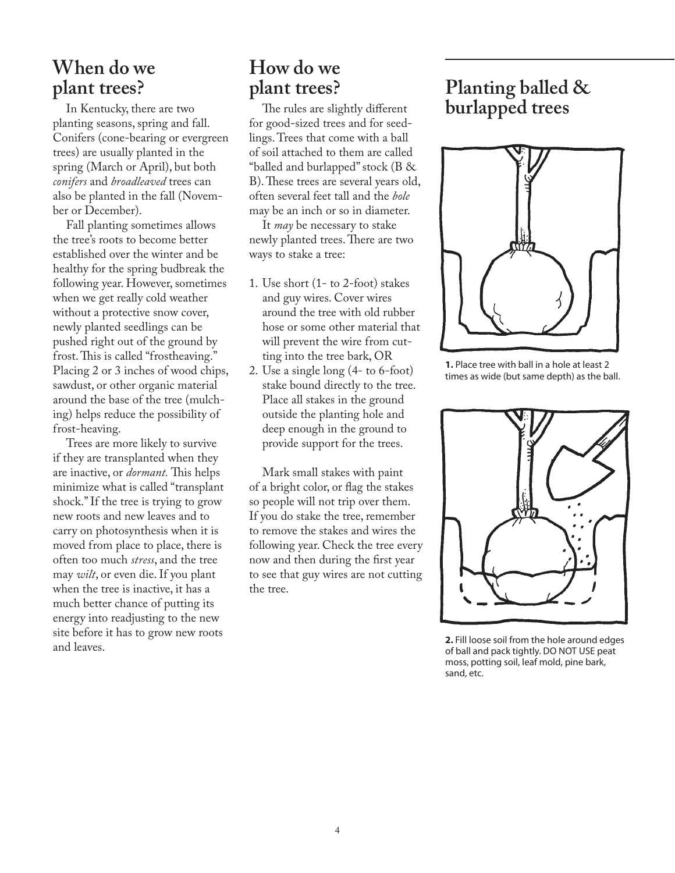#### **When do we plant trees?**

 In Kentucky, there are two planting seasons, spring and fall. Conifers (cone-bearing or evergreen trees) are usually planted in the spring (March or April), but both *conifers* and *broadleaved* trees can also be planted in the fall (November or December).

 Fall planting sometimes allows the tree's roots to become better established over the winter and be healthy for the spring budbreak the following year. However, sometimes when we get really cold weather without a protective snow cover, newly planted seedlings can be pushed right out of the ground by frost. This is called "frostheaving." Placing 2 or 3 inches of wood chips, sawdust, or other organic material around the base of the tree (mulching) helps reduce the possibility of frost-heaving.

 Trees are more likely to survive if they are transplanted when they are inactive, or *dormant*. This helps minimize what is called "transplant shock." If the tree is trying to grow new roots and new leaves and to carry on photosynthesis when it is moved from place to place, there is often too much *stress*, and the tree may *wilt*, or even die. If you plant when the tree is inactive, it has a much better chance of putting its energy into readjusting to the new site before it has to grow new roots and leaves.

## **How do we plant trees?**

The rules are slightly different for good-sized trees and for seedlings. Trees that come with a ball of soil attached to them are called "balled and burlapped" stock (B & B). These trees are several years old, often several feet tall and the *bole* may be an inch or so in diameter.

 It *may* be necessary to stake newly planted trees. There are two ways to stake a tree:

- 1. Use short (1- to 2-foot) stakes and guy wires. Cover wires around the tree with old rubber hose or some other material that will prevent the wire from cutting into the tree bark, OR
- 2. Use a single long  $(4-$  to 6-foot) stake bound directly to the tree. Place all stakes in the ground outside the planting hole and deep enough in the ground to provide support for the trees.

 Mark small stakes with paint of a bright color, or flag the stakes so people will not trip over them. If you do stake the tree, remember to remove the stakes and wires the following year. Check the tree every now and then during the first year to see that guy wires are not cutting the tree.

## **Planting balled & burlapped trees**



**1.** Place tree with ball in a hole at least 2 times as wide (but same depth) as the ball.



**2.** Fill loose soil from the hole around edges of ball and pack tightly. DO NOT USE peat moss, potting soil, leaf mold, pine bark, sand, etc.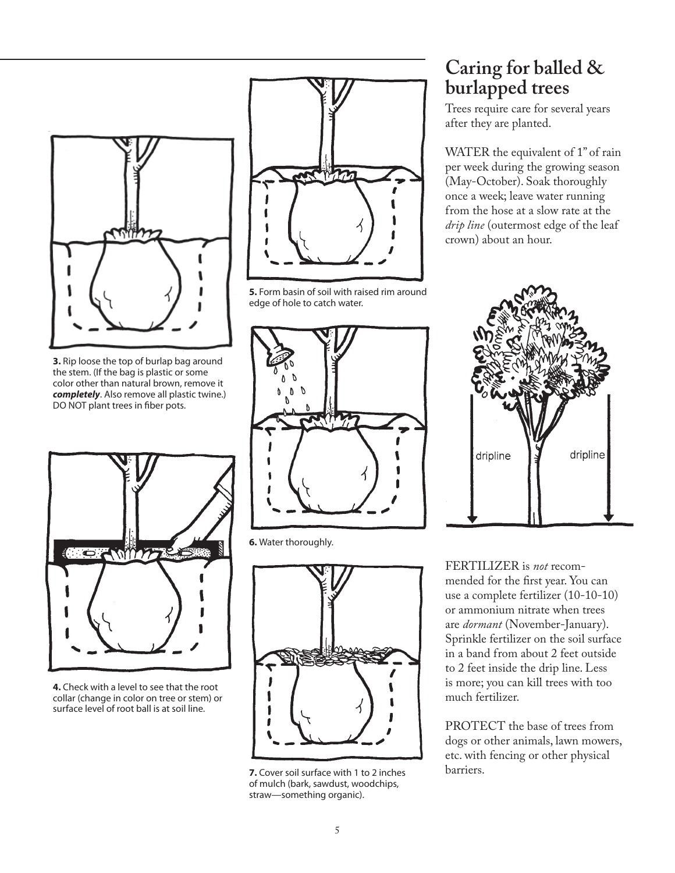

**3.** Rip loose the top of burlap bag around the stem. (If the bag is plastic or some color other than natural brown, remove it *completely*. Also remove all plastic twine.) DO NOT plant trees in fiber pots.



**4.** Check with a level to see that the root collar (change in color on tree or stem) or surface level of root ball is at soil line.



**5.** Form basin of soil with raised rim around edge of hole to catch water.



**6.** Water thoroughly.



**7.** Cover soil surface with 1 to 2 inches of mulch (bark, sawdust, woodchips, straw—something organic).

#### **Caring for balled & burlapped trees**

Trees require care for several years after they are planted.

WATER the equivalent of 1" of rain per week during the growing season (May-October). Soak thoroughly once a week; leave water running from the hose at a slow rate at the *drip line* (outermost edge of the leaf crown) about an hour.



FERTILIZER is *not* recommended for the first year. You can use a complete fertilizer (10-10-10) or ammonium nitrate when trees are *dormant* (November-January). Sprinkle fertilizer on the soil surface in a band from about 2 feet outside to 2 feet inside the drip line. Less is more; you can kill trees with too much fertilizer.

PROTECT the base of trees from dogs or other animals, lawn mowers, etc. with fencing or other physical barriers.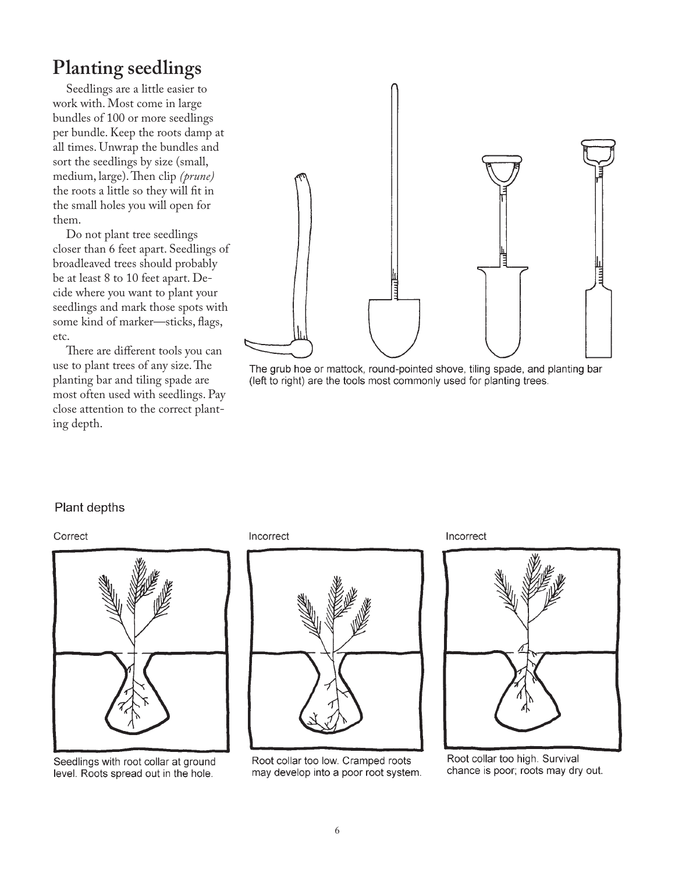## **Planting seedlings**

 Seedlings are a little easier to work with. Most come in large bundles of 100 or more seedlings per bundle. Keep the roots damp at all times. Unwrap the bundles and sort the seedlings by size (small, medium, large). Then clip (prune) the roots a little so they will fit in the small holes you will open for them.

 Do not plant tree seedlings closer than 6 feet apart. Seedlings of broadleaved trees should probably be at least 8 to 10 feet apart. Decide where you want to plant your seedlings and mark those spots with some kind of marker—sticks, flags, etc.

There are different tools you can use to plant trees of any size. The planting bar and tiling spade are most often used with seedlings. Pay close attention to the correct planting depth.



The grub hoe or mattock, round-pointed shove, tiling spade, and planting bar (left to right) are the tools most commonly used for planting trees.

#### Plant depths

#### Correct



Seedlings with root collar at ground level. Roots spread out in the hole.

Incorrect



Root collar too low. Cramped roots may develop into a poor root system. Incorrect



Root collar too high. Survival chance is poor; roots may dry out.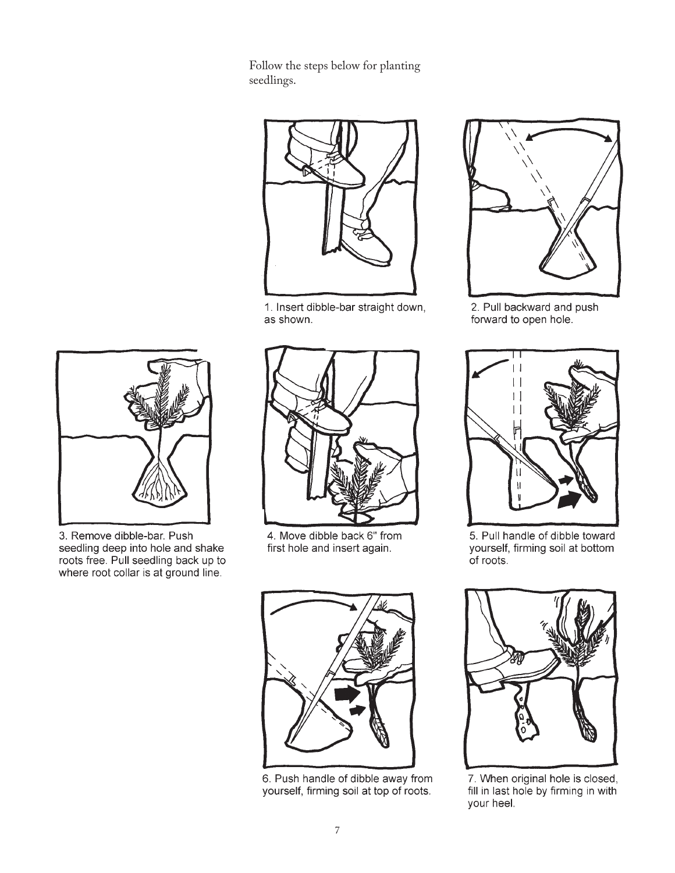Follow the steps below for planting seedlings.



1. Insert dibble-bar straight down, as shown.



2. Pull backward and push forward to open hole.



5. Pull handle of dibble toward yourself, firming soil at bottom of roots.



7. When original hole is closed, fill in last hole by firming in with your heel.



3. Remove dibble-bar. Push seedling deep into hole and shake roots free. Pull seedling back up to where root collar is at ground line.



4. Move dibble back 6" from first hole and insert again.



6. Push handle of dibble away from yourself, firming soil at top of roots.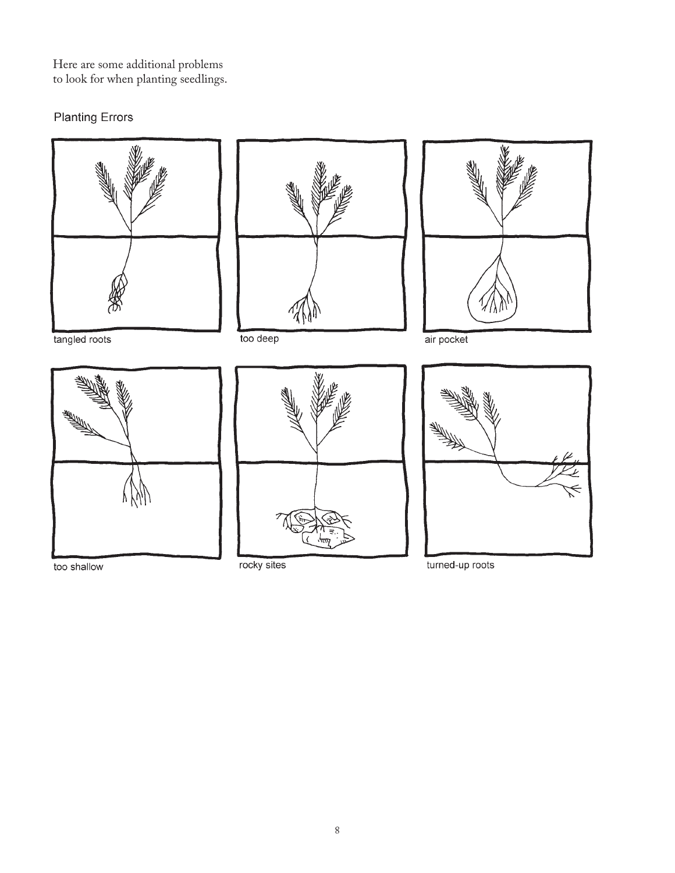Here are some additional problems to look for when planting seedlings.

#### **Planting Errors**



too shallow

rocky sites

turned-up roots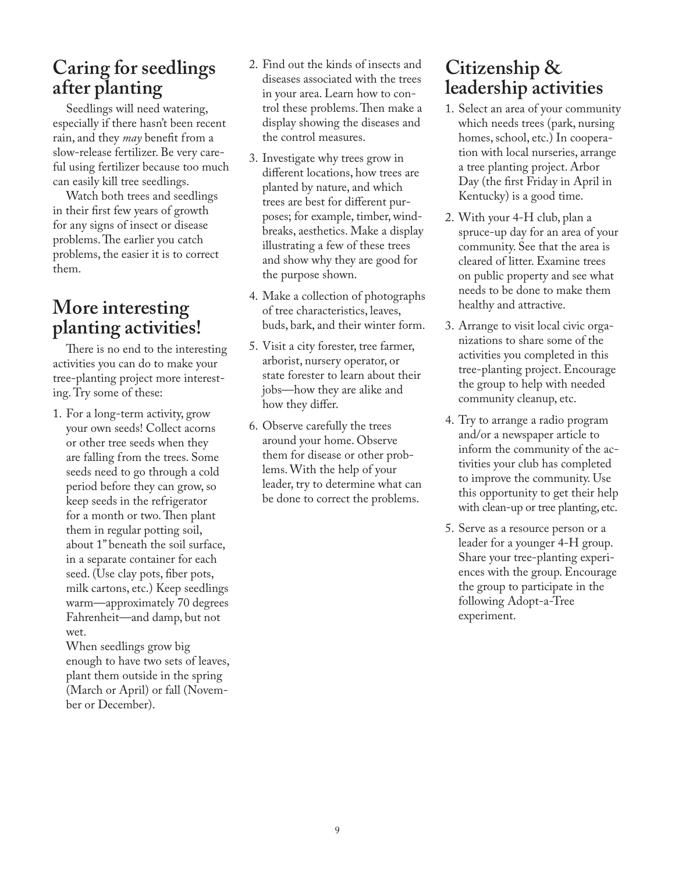#### **Caring for seedlings after planting**

 Seedlings will need watering, especially if there hasn't been recent rain, and they *may* benefit from a slow-release fertilizer. Be very careful using fertilizer because too much can easily kill tree seedlings.

 Watch both trees and seedlings in their first few years of growth for any signs of insect or disease problems. The earlier you catch problems, the easier it is to correct them.

#### **More interesting planting activities!**

There is no end to the interesting activities you can do to make your tree-planting project more interesting. Try some of these:

1. For a long-term activity, grow your own seeds! Collect acorns or other tree seeds when they are falling from the trees. Some seeds need to go through a cold period before they can grow, so keep seeds in the refrigerator for a month or two. Then plant them in regular potting soil, about 1" beneath the soil surface, in a separate container for each seed. (Use clay pots, fiber pots, milk cartons, etc.) Keep seedlings warm—approximately 70 degrees Fahrenheit—and damp, but not wet.

 When seedlings grow big enough to have two sets of leaves, plant them outside in the spring (March or April) or fall (November or December).

- 2. Find out the kinds of insects and diseases associated with the trees in your area. Learn how to control these problems. Then make a display showing the diseases and the control measures.
- 3. Investigate why trees grow in different locations, how trees are planted by nature, and which trees are best for different purposes; for example, timber, windbreaks, aesthetics. Make a display illustrating a few of these trees and show why they are good for the purpose shown.
- 4. Make a collection of photographs of tree characteristics, leaves, buds, bark, and their winter form.
- 5. Visit a city forester, tree farmer, arborist, nursery operator, or state forester to learn about their jobs—how they are alike and how they differ.
- 6. Observe carefully the trees around your home. Observe them for disease or other problems. With the help of your leader, try to determine what can be done to correct the problems.

#### **Citizenship & leadership activities**

- 1. Select an area of your community which needs trees (park, nursing homes, school, etc.) In cooperation with local nurseries, arrange a tree planting project. Arbor Day (the first Friday in April in Kentucky) is a good time.
- 2. With your 4-H club, plan a spruce-up day for an area of your community. See that the area is cleared of litter. Examine trees on public property and see what needs to be done to make them healthy and attractive.
- 3. Arrange to visit local civic organizations to share some of the activities you completed in this tree-planting project. Encourage the group to help with needed community cleanup, etc.
- 4. Try to arrange a radio program and/or a newspaper article to inform the community of the activities your club has completed to improve the community. Use this opportunity to get their help with clean-up or tree planting, etc.
- 5. Serve as a resource person or a leader for a younger 4-H group. Share your tree-planting experiences with the group. Encourage the group to participate in the following Adopt-a-Tree experiment.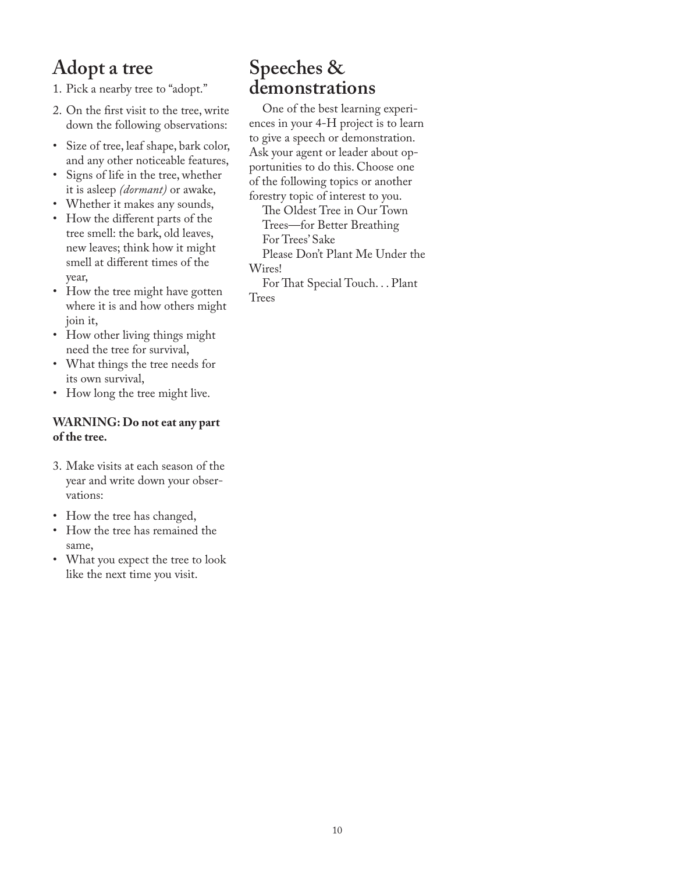## **Adopt a tree**

1. Pick a nearby tree to "adopt."

- 2. On the first visit to the tree, write down the following observations:
- Size of tree, leaf shape, bark color, and any other noticeable features,
- Signs of life in the tree, whether it is asleep *(dormant)* or awake,
- Whether it makes any sounds,
- How the different parts of the tree smell: the bark, old leaves, new leaves; think how it might smell at different times of the year,
- How the tree might have gotten where it is and how others might join it,
- How other living things might need the tree for survival,
- What things the tree needs for its own survival,
- How long the tree might live.

#### **WARNING: Do not eat any part of the tree.**

- 3. Make visits at each season of the year and write down your observations:
- How the tree has changed,
- How the tree has remained the same,
- What you expect the tree to look like the next time you visit.

#### **Speeches & demonstrations**

 One of the best learning experiences in your 4-H project is to learn to give a speech or demonstration. Ask your agent or leader about opportunities to do this. Choose one of the following topics or another forestry topic of interest to you.

The Oldest Tree in Our Town Trees—for Better Breathing For Trees' Sake Please Don't Plant Me Under the Wires!

For That Special Touch. . . Plant **Trees**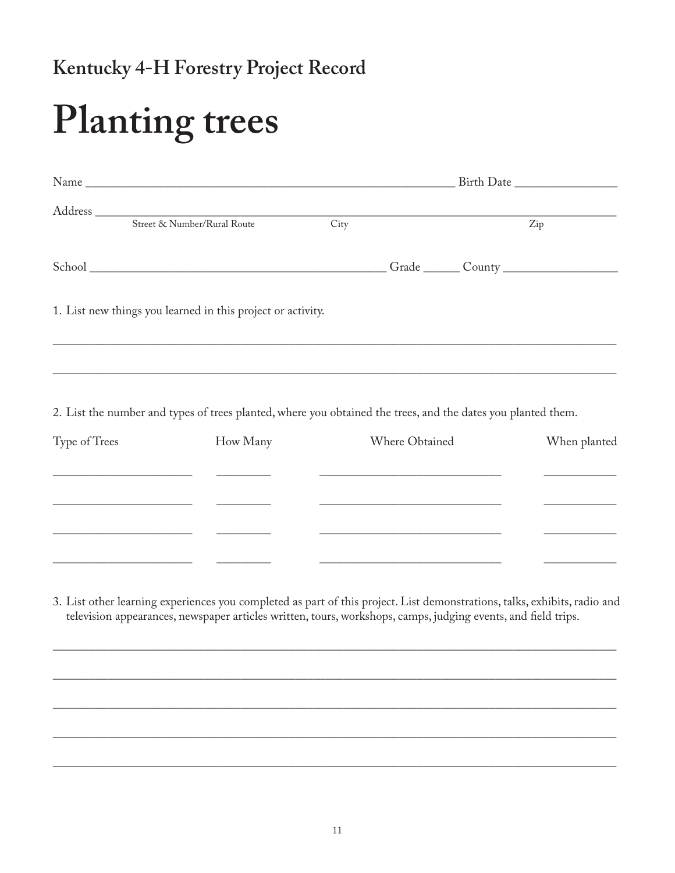## Kentucky 4-H Forestry Project Record

# **Planting trees**

|  | Street & Number/Rural Route                                 | City |  |  | Zip |
|--|-------------------------------------------------------------|------|--|--|-----|
|  |                                                             |      |  |  |     |
|  | 1. List new things you learned in this project or activity. |      |  |  |     |
|  |                                                             |      |  |  |     |
|  |                                                             |      |  |  |     |

2. List the number and types of trees planted, where you obtained the trees, and the dates you planted them.

| Type of Trees | How Many | Where Obtained | When planted |
|---------------|----------|----------------|--------------|
|               |          |                |              |
|               |          |                |              |
|               |          |                |              |
|               |          |                |              |

3. List other learning experiences you completed as part of this project. List demonstrations, talks, exhibits, radio and television appearances, newspaper articles written, tours, workshops, camps, judging events, and field trips.